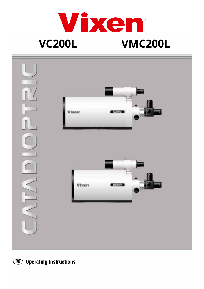



**EN Operating Instructions**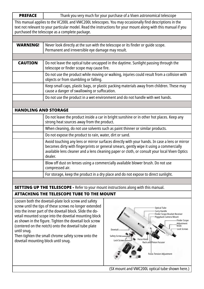| <b>PREFACE</b>                                                                                                                                                                                                                                                              | Thank you very much for your purchase of a Vixen astronomical telescope                                                                                                                                                                                                                             |
|-----------------------------------------------------------------------------------------------------------------------------------------------------------------------------------------------------------------------------------------------------------------------------|-----------------------------------------------------------------------------------------------------------------------------------------------------------------------------------------------------------------------------------------------------------------------------------------------------|
| This manual applies to the VC200L and VMC200L telescopes. You may occasionally find descriptions in the<br>text not relevant to your particular model. Read the instructions for your mount along with this manual if you<br>purchased the telescope as a complete package. |                                                                                                                                                                                                                                                                                                     |
|                                                                                                                                                                                                                                                                             |                                                                                                                                                                                                                                                                                                     |
| <b>WARNING!</b>                                                                                                                                                                                                                                                             | Never look directly at the sun with the telescope or its finder or quide scope.<br>Permanent and irreversible eye damage may result.                                                                                                                                                                |
|                                                                                                                                                                                                                                                                             |                                                                                                                                                                                                                                                                                                     |
| <b>CAUTION</b>                                                                                                                                                                                                                                                              | Do not leave the optical tube uncapped in the daytime. Sunlight passing through the<br>telescope or finder scope may cause fire.                                                                                                                                                                    |
|                                                                                                                                                                                                                                                                             | Do not use the product while moving or walking, injuries could result from a collision with<br>objects or from stumbling or falling.                                                                                                                                                                |
|                                                                                                                                                                                                                                                                             | Keep small caps, plastic bags, or plastic packing materials away from children. These may<br>cause a danger of swallowing or suffocation.                                                                                                                                                           |
|                                                                                                                                                                                                                                                                             | Do not use the product in a wet environment and do not handle with wet hands.                                                                                                                                                                                                                       |
|                                                                                                                                                                                                                                                                             |                                                                                                                                                                                                                                                                                                     |
| <b>HANDLING AND STORAGE</b>                                                                                                                                                                                                                                                 |                                                                                                                                                                                                                                                                                                     |
|                                                                                                                                                                                                                                                                             | Do not leave the product inside a car in bright sunshine or in other hot places. Keep any<br>strong heat sources away from the product.                                                                                                                                                             |
|                                                                                                                                                                                                                                                                             | When cleaning, do not use solvents such as paint thinner or similar products.                                                                                                                                                                                                                       |
|                                                                                                                                                                                                                                                                             | Do not expose the product to rain, water, dirt or sand.                                                                                                                                                                                                                                             |
|                                                                                                                                                                                                                                                                             | Avoid touching any lens or mirror surfaces directly with your hands. In case a lens or mirror<br>becomes dirty with fingerprints or general smears, gently wipe it using a commercially<br>available lens cleaner and a lens cleaning paper or cloth, or consult your local Vixen Optics<br>dealer. |
|                                                                                                                                                                                                                                                                             | Blow off dust on lenses using a commercially available blower brush. Do not use<br>compressed air.                                                                                                                                                                                                  |
|                                                                                                                                                                                                                                                                             | For storage, keep the product in a dry place and do not expose to direct sunlight.                                                                                                                                                                                                                  |
|                                                                                                                                                                                                                                                                             |                                                                                                                                                                                                                                                                                                     |
| <b>SETTING UP THE TELESCOPE</b> - Refer to your mount instructions along with this manual.                                                                                                                                                                                  |                                                                                                                                                                                                                                                                                                     |

# ATTACHING THE TELESCOPE TUBE TO THE MOUNT

Loosen both the dovetail-plate lock screw and safety screw until the tips of these screws no longer extended into the inner part of the dovetail block. Slide the dovetail mounted scope into the dovetial mounting block as shown in the figure. Tighten the dovetail lock screw (centered on the notch) onto the dovetail tube plate until snug.

Then tighten the small chrome safety screw onto the dovetail mounting block until snug.



(SX mount and VMC200L optical tube shown here.)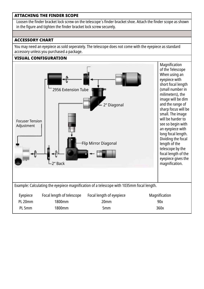### ATTACHING THE FINDER SCOPE

Loosen the finder bracket lock screw on the telescope´s finder bracket shoe. Attach the finder scope as shown in the figure and tighten the finder bracket lock screw securely.

### ACCESSORY CHART

You may need an eyepiece as sold seperately. The telescope does not come with the eyepiece as standard accessory unless you purchased a package.

### VISUAL CONFIGURATION